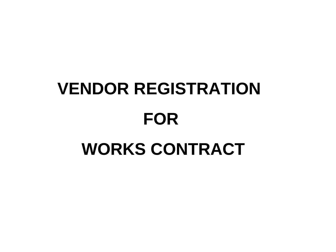# **VENDOR REGISTRATION FOR WORKS CONTRACT**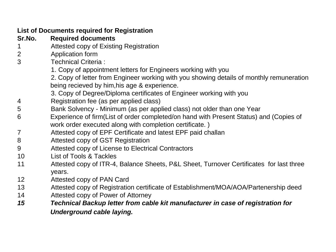| <b>List of Documents required for Registration</b> |                                                                                                   |  |  |  |  |  |
|----------------------------------------------------|---------------------------------------------------------------------------------------------------|--|--|--|--|--|
| Sr.No.                                             | <b>Required documents</b>                                                                         |  |  |  |  |  |
| $\mathbf 1$                                        | Attested copy of Existing Registration                                                            |  |  |  |  |  |
| 2                                                  | Application form                                                                                  |  |  |  |  |  |
| 3                                                  | <b>Technical Criteria:</b>                                                                        |  |  |  |  |  |
|                                                    | 1. Copy of appointment letters for Engineers working with you                                     |  |  |  |  |  |
|                                                    | 2. Copy of letter from Engineer working with you showing details of monthly remuneration          |  |  |  |  |  |
|                                                    | being recieved by him, his age & experience.                                                      |  |  |  |  |  |
|                                                    | 3. Copy of Degree/Diploma certificates of Engineer working with you                               |  |  |  |  |  |
| 4                                                  | Registration fee (as per applied class)                                                           |  |  |  |  |  |
| 5                                                  | Bank Solvency - Minimum (as per applied class) not older than one Year                            |  |  |  |  |  |
| 6                                                  | Experience of firm(List of order completed/on hand with Present Status) and (Copies of            |  |  |  |  |  |
|                                                    | work order executed along with completion certificate.)                                           |  |  |  |  |  |
| $\overline{7}$                                     | Attested copy of EPF Certificate and latest EPF paid challan                                      |  |  |  |  |  |
| 8                                                  | Attested copy of GST Registration                                                                 |  |  |  |  |  |
| 9                                                  | Attested copy of License to Electrical Contractors                                                |  |  |  |  |  |
| 10                                                 | List of Tools & Tackles                                                                           |  |  |  |  |  |
| 11                                                 | Attested copy of ITR-4, Balance Sheets, P&L Sheet, Turnover Certificates for last three<br>years. |  |  |  |  |  |
| $12 \overline{ }$                                  | Attested copy of PAN Card                                                                         |  |  |  |  |  |
| 13                                                 | Attested copy of Registration certificate of Establishment/MOA/AOA/Partenership deed              |  |  |  |  |  |
| 14                                                 | Attested copy of Power of Attorney                                                                |  |  |  |  |  |
| 15                                                 | Technical Backup letter from cable kit manufacturer in case of registration for                   |  |  |  |  |  |
|                                                    | <b>Underground cable laying.</b>                                                                  |  |  |  |  |  |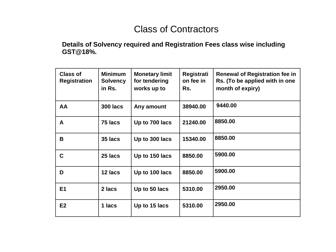### Class of Contractors

#### **Details of Solvency required and Registration Fees class wise including GST@18%.**

| <b>Class of</b><br><b>Registration</b> | <b>Minimum</b><br><b>Solvency</b><br>in Rs. | <b>Monetary limit</b><br>for tendering<br>works up to | Registrati<br>on fee in<br>Rs. | <b>Renewal of Registration fee in</b><br>Rs. (To be applied with in one<br>month of expiry) |
|----------------------------------------|---------------------------------------------|-------------------------------------------------------|--------------------------------|---------------------------------------------------------------------------------------------|
| AA                                     | <b>300 lacs</b>                             | Any amount                                            | 38940.00                       | 9440.00                                                                                     |
| A                                      | 75 lacs                                     | Up to 700 lacs                                        | 21240.00                       | 8850.00                                                                                     |
| B                                      | 35 lacs                                     | Up to 300 lacs                                        | 15340.00                       | 8850.00                                                                                     |
| C                                      | 25 lacs                                     | Up to 150 lacs                                        | 8850.00                        | 5900.00                                                                                     |
| D                                      | 12 lacs                                     | Up to 100 lacs                                        | 8850.00                        | 5900.00                                                                                     |
| E <sub>1</sub>                         | 2 lacs                                      | Up to 50 lacs                                         | 5310.00                        | 2950.00                                                                                     |
| E2                                     | 1 lacs                                      | Up to 15 lacs                                         | 5310.00                        | 2950.00                                                                                     |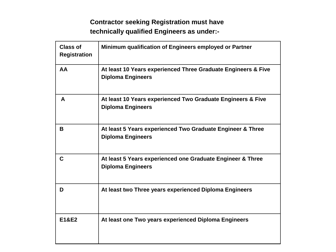#### **Contractor seeking Registration must have technically qualified Engineers as under:-**

| <b>Class of</b><br><b>Registration</b> | Minimum qualification of Engineers employed or Partner                                    |
|----------------------------------------|-------------------------------------------------------------------------------------------|
| AA                                     | At least 10 Years experienced Three Graduate Engineers & Five<br><b>Diploma Engineers</b> |
| A                                      | At least 10 Years experienced Two Graduate Engineers & Five<br><b>Diploma Engineers</b>   |
| В                                      | At least 5 Years experienced Two Graduate Engineer & Three<br><b>Diploma Engineers</b>    |
| C                                      | At least 5 Years experienced one Graduate Engineer & Three<br><b>Diploma Engineers</b>    |
| D                                      | At least two Three years experienced Diploma Engineers                                    |
| <b>E1&amp;E2</b>                       | At least one Two years experienced Diploma Engineers                                      |